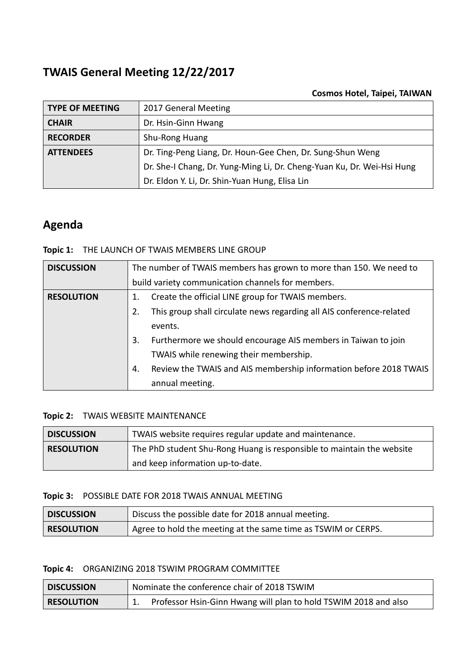# **TWAIS General Meeting 12/22/2017**

### **Cosmos Hotel, Taipei, TAIWAN**

| <b>TYPE OF MEETING</b> | 2017 General Meeting                                                   |
|------------------------|------------------------------------------------------------------------|
| <b>CHAIR</b>           | Dr. Hsin-Ginn Hwang                                                    |
| <b>RECORDER</b>        | Shu-Rong Huang                                                         |
| <b>ATTENDEES</b>       | Dr. Ting-Peng Liang, Dr. Houn-Gee Chen, Dr. Sung-Shun Weng             |
|                        | Dr. She-I Chang, Dr. Yung-Ming Li, Dr. Cheng-Yuan Ku, Dr. Wei-Hsi Hung |
|                        | Dr. Eldon Y. Li, Dr. Shin-Yuan Hung, Elisa Lin                         |

# **Agenda**

### **Topic 1:** THE LAUNCH OF TWAIS MEMBERS LINE GROUP

| <b>DISCUSSION</b> | The number of TWAIS members has grown to more than 150. We need to         |  |  |
|-------------------|----------------------------------------------------------------------------|--|--|
|                   | build variety communication channels for members.                          |  |  |
| <b>RESOLUTION</b> | Create the official LINE group for TWAIS members.                          |  |  |
|                   | This group shall circulate news regarding all AIS conference-related<br>2. |  |  |
|                   | events.                                                                    |  |  |
|                   | Furthermore we should encourage AIS members in Taiwan to join<br>3.        |  |  |
|                   | TWAIS while renewing their membership.                                     |  |  |
|                   | Review the TWAIS and AIS membership information before 2018 TWAIS<br>4.    |  |  |
|                   | annual meeting.                                                            |  |  |

## **Topic 2:** TWAIS WEBSITE MAINTENANCE

| <b>DISCUSSION</b> | TWAIS website requires regular update and maintenance.                |
|-------------------|-----------------------------------------------------------------------|
| <b>RESOLUTION</b> | The PhD student Shu-Rong Huang is responsible to maintain the website |
|                   | and keep information up-to-date.                                      |

#### **Topic 3:** POSSIBLE DATE FOR 2018 TWAIS ANNUAL MEETING

| <b>DISCUSSION</b> | Discuss the possible date for 2018 annual meeting.            |
|-------------------|---------------------------------------------------------------|
| <b>RESOLUTION</b> | Agree to hold the meeting at the same time as TSWIM or CERPS. |

#### **Topic 4:** ORGANIZING 2018 TSWIM PROGRAM COMMITTEE

| <b>DISCUSSION</b> | Nominate the conference chair of 2018 TSWIM                     |  |
|-------------------|-----------------------------------------------------------------|--|
| <b>RESOLUTION</b> | Professor Hsin-Ginn Hwang will plan to hold TSWIM 2018 and also |  |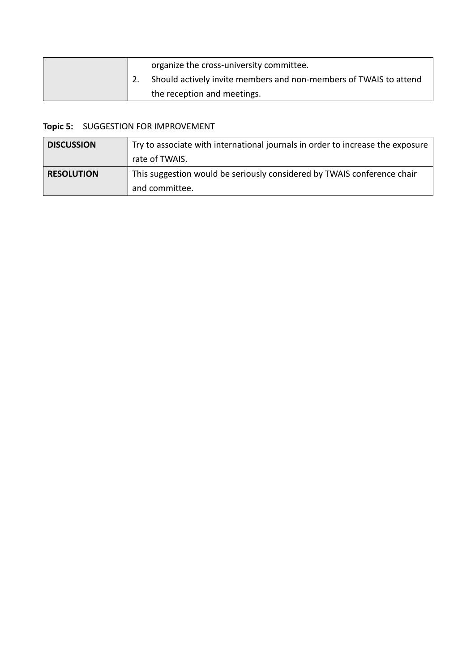|  | organize the cross-university committee.                          |
|--|-------------------------------------------------------------------|
|  | Should actively invite members and non-members of TWAIS to attend |
|  | the reception and meetings.                                       |

## **Topic 5:** SUGGESTION FOR IMPROVEMENT

| <b>DISCUSSION</b> | Try to associate with international journals in order to increase the exposure |  |
|-------------------|--------------------------------------------------------------------------------|--|
|                   | rate of TWAIS.                                                                 |  |
| <b>RESOLUTION</b> | This suggestion would be seriously considered by TWAIS conference chair        |  |
|                   | and committee.                                                                 |  |